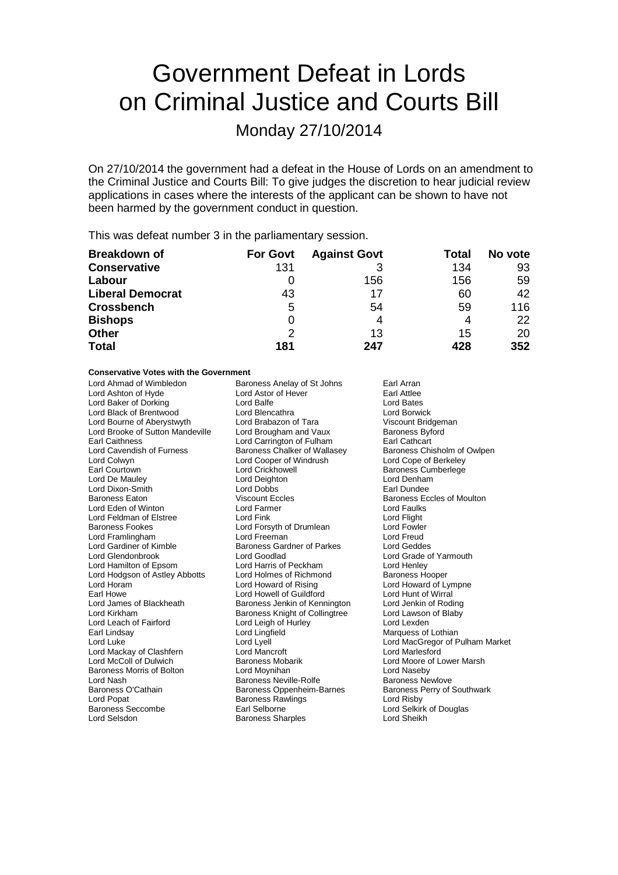# Government Defeat in Lords on Criminal Justice and Courts Bill

## Monday 27/10/2014

On 27/10/2014 the government had a defeat in the House of Lords on an amendment to the Criminal Justice and Courts Bill: To give judges the discretion to hear judicial review applications in cases where the interests of the applicant can be shown to have not been harmed by the government conduct in question.

This was defeat number 3 in the parliamentary session.

| <b>Breakdown of</b>     | <b>For Govt</b> | <b>Against Govt</b> | Total | No vote |
|-------------------------|-----------------|---------------------|-------|---------|
| <b>Conservative</b>     | 131             |                     | 134   | 93      |
| Labour                  |                 | 156                 | 156   | 59      |
| <b>Liberal Democrat</b> | 43              | 17                  | 60    | 42      |
| <b>Crossbench</b>       | 5               | 54                  | 59    | 116     |
| <b>Bishops</b>          | 0               |                     | 4     | 22      |
| <b>Other</b>            | 2               | 13                  | 15    | 20      |
| <b>Total</b>            | 181             | 247                 | 428   | 352     |

#### **Conservative Votes with the Government**

| Lord Ahmad of Wimbledon          | Baroness Anelay of St Johns       | Earl Arran                        |  |
|----------------------------------|-----------------------------------|-----------------------------------|--|
| Lord Ashton of Hyde              | Lord Astor of Hever               | Earl Attlee                       |  |
| Lord Baker of Dorking            | Lord Balfe                        | <b>Lord Bates</b>                 |  |
| Lord Black of Brentwood          | Lord Blencathra                   | Lord Borwick                      |  |
| Lord Bourne of Aberystwyth       | Lord Brabazon of Tara             | Viscount Bridgeman                |  |
| Lord Brooke of Sutton Mandeville | Lord Brougham and Vaux            | <b>Baroness Byford</b>            |  |
| <b>Earl Caithness</b>            | Lord Carrington of Fulham         | Earl Cathcart                     |  |
| Lord Cavendish of Furness        | Baroness Chalker of Wallasey      | Baroness Chisholm of Owlpen       |  |
| Lord Colwyn                      | Lord Cooper of Windrush           | Lord Cope of Berkeley             |  |
| Earl Courtown                    | Lord Crickhowell                  | <b>Baroness Cumberlege</b>        |  |
| Lord De Mauley                   | Lord Deighton                     | Lord Denham                       |  |
| Lord Dixon-Smith                 | Lord Dobbs                        | Earl Dundee                       |  |
| <b>Baroness Eaton</b>            | <b>Viscount Eccles</b>            | <b>Baroness Eccles of Moulton</b> |  |
| Lord Eden of Winton              | Lord Farmer                       | <b>Lord Faulks</b>                |  |
| Lord Feldman of Elstree          | Lord Fink                         | Lord Flight                       |  |
| <b>Baroness Fookes</b>           | Lord Forsyth of Drumlean          | <b>Lord Fowler</b>                |  |
| Lord Framlingham                 | Lord Freeman                      | <b>Lord Freud</b>                 |  |
| Lord Gardiner of Kimble          | <b>Baroness Gardner of Parkes</b> | Lord Geddes                       |  |
| Lord Glendonbrook                | Lord Goodlad                      | Lord Grade of Yarmouth            |  |
| Lord Hamilton of Epsom           | Lord Harris of Peckham            | Lord Henley                       |  |
| Lord Hodgson of Astley Abbotts   | Lord Holmes of Richmond           | <b>Baroness Hooper</b>            |  |
| Lord Horam                       | Lord Howard of Rising             | Lord Howard of Lympne             |  |
| Earl Howe                        | Lord Howell of Guildford          | Lord Hunt of Wirral               |  |
| Lord James of Blackheath         | Baroness Jenkin of Kennington     | Lord Jenkin of Roding             |  |
| Lord Kirkham                     | Baroness Knight of Collingtree    | Lord Lawson of Blaby              |  |
| Lord Leach of Fairford           | Lord Leigh of Hurley              | Lord Lexden                       |  |
| Earl Lindsay                     | Lord Lingfield                    | Marquess of Lothian               |  |
| Lord Luke                        | Lord Lyell                        | Lord MacGregor of Pulham Market   |  |
| Lord Mackay of Clashfern         | Lord Mancroft                     | Lord Marlesford                   |  |
| Lord McColl of Dulwich           | <b>Baroness Mobarik</b>           | Lord Moore of Lower Marsh         |  |
| Baroness Morris of Bolton        | Lord Moynihan                     | Lord Naseby                       |  |
| Lord Nash                        | <b>Baroness Neville-Rolfe</b>     | <b>Baroness Newlove</b>           |  |
| Baroness O'Cathain               | Baroness Oppenheim-Barnes         | Baroness Perry of Southwark       |  |
| Lord Popat                       | <b>Baroness Rawlings</b>          | Lord Risby                        |  |
| <b>Baroness Seccombe</b>         | Earl Selborne                     | Lord Selkirk of Douglas           |  |
| Lord Selsdon                     | <b>Baroness Sharples</b>          | Lord Sheikh                       |  |
|                                  |                                   |                                   |  |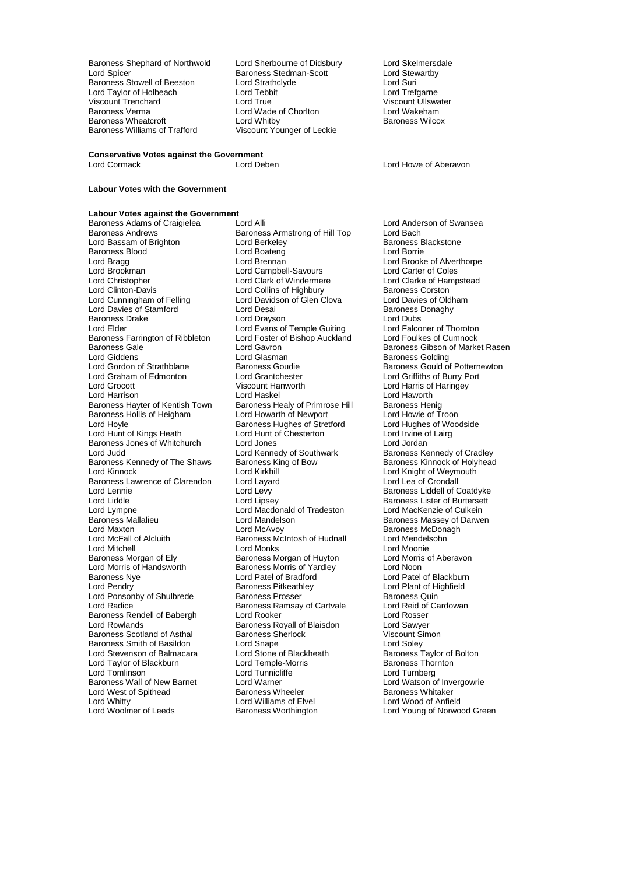Baroness Shephard of Northwold Lord Sherbourne of Didsbury Lord Skelmersdale<br>
Lord Spicer Cord Clements Baroness Stedman-Scott Lord Stewartby Baroness Stowell of Beeston Lord Strathclyde Lord Cord Suri<br>
Lord Taylor of Holbeach Lord Tebbit Lord Tebbit Lord Trefgarne Lord Taylor of Holbeach Lord Tebb<br>
Viscount Trenchard Lord True<br>
Lord True Viscount Trenchard Lord True Viscount Ullswater Baroness Wheatcroft<br>Baroness Williams of Trafford

Baroness Stedman-Scott Lord Stewart Lord Stewart Lord Stewart Lord Stewart Lord Stewart Lord Stewart Lord Wade of Chorlton **Lord Wakeham**<br>
Lord Whitby **Charles Container Baroness Wilcox** Viscount Younger of Leckie

Lord Howe of Aberavon

## **Conservative Votes against the Government**<br>Lord Cormack Lord Deben

#### **Labour Votes with the Government**

**Labour Votes against the Government**<br>Baroness Adams of Craigielea Lord Alli Baroness Adams of Craigielea<br>
Baroness Adams of Craigielea Lord Alli<br>
Baroness Armstrong of Hill Top Lord Bach<br>
Lord Bach Lord Bassam of Brighton **Lord Berkeley Conserversion** Baroness B<br>
Baroness Blood **Baroness** Lord Boateng **Baroness** Borrie Baroness Blood Lord Boateng<br>
Lord Brang Lord Brang Lord Bragg Lord Brennan Lord Brennan Lord Brooke of Alverthorpe<br>
Lord Brookman Lord Campbell-Savours Lord Carter of Coles Lord Brookman Lord Campbell-Savours Lord Carter of Coles Lord Christopher Lord Clark of Windermere Lord Clarke of Har<br>
Lord Clinton-Davis Lord Collins of Highbury Baroness Corston Lord Cunningham of Felling Lord Davidson of Glen Clova Lord Davies of Oldh<br>Lord Davies of Stamford Lord Desai Lord Desain Baroness Donaghy Lord Davies of Stamford Lord Desai Baroness Donaghy Baroness Drake **Lord Drayson** Lord Drayson **Lord Dubs**<br>
Lord Elder **Lord Evans of Temple Guiting** Lord Falconer of Thoroton Baroness Farrington of Ribbleton Lord Foster c<br>Baroness Gale Cumnockland Lord Gavron Baroness Gale <sup>V</sup> Exercise Corresponding Lord Gavron Corresponding Baroness Gibson of Market Rasen<br>Lord Giddens Corresponding Lord Glasman Lord Giddens **Lord Glasman** Lord Glasman **Baroness Golding**<br>
Lord Gordon of Strathblane **Baroness Goudie** Baroness Gould of Lord Graham of Edmonton Lord Grantchester<br>
Lord Grocott Cord Crocott<br>
Viscount Hanworth Lord Grocott Viscount Hanworth Lord Harris of Haringey Lord Harrison Lord Haskel Lord Haworth Baroness Hayter of Kentish Town Baroness Healy of Primrose Hill Baroness Henig<br>Baroness Hollis of Heigham Lord Howarth of Newport Lord Howie of Troon Baroness Hollis of Heigham Lord Howarth of Newport Lord Howie of Troon<br>
Lord Hoyle Cord Hughes of Woodside<br>
Lord Hughes of Woodside Lord Hunt of Kings Heath Lord Hunt of Chesterton Lord Irvine of Chesterton Lord Irvine of Chesterton Lord Jondan Baroness Jones of Whitchurch Lord Jones<br>
Lord Judd<br>
Lord Kennedy of Southwark Lord Judd Lord Kennedy of Southwark Baroness Kennedy of Cradley<br>Baroness Kennedy of The Shaws Baroness King of Bow Baroness Kinnock of Holyhead Baroness Kennedy of The Shaws Baroness King of Bow Baroness Kinnock of Holyhead<br>
Lord Kinnock Cord Kinnock Cord Kinnock of Weymouth Baroness Lawrence of Clarendon Lord Layard Lord Leagued Lord Lewissipped Lord Lewissipped Leagued School Lord Lewissipped Leagued School Lord Lewissipped Leagued School Lord Lewissipped Leagued School Lord Lewissipped Leag Lord Lennie Lord Levy Lord Levy Baroness Liddell of Coatdyke<br>
Lord Liddle Lord Lipsey Lord Baroness Lister of Burtersett Lord Liddle Lord Lipsey Lord Lipsey Baroness Lister of Burtersett<br>
Lord Lympne Lord Macdonald of Tradeston Lord MacKenzie of Culkein Lord Lympne Lord Macdonald of Tradeston<br>Baroness Mallalieu Lord Mandelson Baroness Mallalieu Lord Mandelson Baroness Massey of Darwen Lord Maxton **Lord McAvoy Baroness McDonagh**<br>
Lord McFall of Alcluith **Baroness McIntosh of Hudnall Lord Mendelsohn** Lord McFall of Alcluith Baroness McIntosh of Hudnall<br>
Lord Mitchell Cord Monks Lord Mitchell<br>
Baroness Morgan of Ely<br>
Baroness Morgan of Huyton
Lord Morris of Aberavon Lord Morris of Handsworth Baroness Morris of Ya<br>Baroness Nye Baroness Note Baroness Nye **Lord Patel of Bradford** Cord Patel of Blackburn<br>
Lord Pendry **Cord Patel of Baroness Pitkeathley** Lord Plant of Highfield Lord Ponsonby of Shulbrede Baroness Prosser<br>
Lord Radice Baroness Ramsay of Cartvale Lord Reid of Cardowan Baroness Rendell of Babergh Lord Rooker Lord Rosser **Baroness Scotland of Asthal Baroness Sherlock Consumers Scotland of Asthal Baroness Sherlock Consumers Sherlock Consumers Sherlock Consumers Sherlock Consumers Sherlock Consumers Sherlock Consumers Sherlock Consumers Sher** Baroness Smith of Basildon **Lord Snape** Lord Soley Lord Soley<br>
Lord Stevenson of Balmacara Lord Stone of Blackheath **Corporat Baroness Taylor of Bolton** Lord Stevenson of Balmacara Lord Stone of Blackheath Baroness Taylor of Lord Taylor of Lord Temple-Morris Cord Taylor Charloress Thornton Lord Taylor of Blackburn Lord Temple-Morris Lord Temple-Morris Baroness Thornton Tunnicliffe Baroness Wall of New Barnet Lord Warner Lord Warner Lord Watson of Invergors Corp.<br>
Lord West of Spithead Baroness Wheeler Baroness Whitaker Lord West of Spithead **Baroness Wheeler** Baroness Whitaker **Baroness Whitaker** Lord Whitty **Baroness Whitaker** Lord Whitaker **Baroness Whitaker** Lord Whitty<br>
Lord Woolmer of Leeds<br>
Baroness Worthington

Baroness Armstrong of Hill Top Lord Bach<br>Lord Berkeley Corporation Baroness Blackstone Lord Collins of Highbury Baroness Corston<br>
Lord Davidson of Glen Clova Lord Davies of Oldham Lord Evans of Temple Guiting Lord Falconer of Thoroton<br>
Lord Foster of Bishop Auckland Lord Foulkes of Cumnock Baroness Hughes of Stretford Lord Hughes of Woods Lord Hughes of Woodside Lord Hunt of Chesterton Lord Kirkhill **Lord Kirkhill**<br>
Lord Layard **Lord Lea of Crondall** Baroness Morgan of Huyton Lord Morris<br>Baroness Morris of Yardley Lord Noon Baroness Pitkeathley **Lord Plant of Highfield**<br> **Baroness Prosser Communist Plant Baroness Quin** Baroness Ramsay of Cartvale Lord Reid of<br>
Lord Rooker Cartvale Lord Rosser **Baroness Royall of Blaisdon Lord Sawyer<br>
Raroness Sherlock Lord Viscount Simon** Lord Tunnicliffe **Lord Turnberg**<br>Lord Warner Lord Watson of Invergowrie

Baroness Goudie Baroness Gould of Potternewton<br>
Lord Grantchester
Lord Griffiths of Burry Port Lord Young of Norwood Green